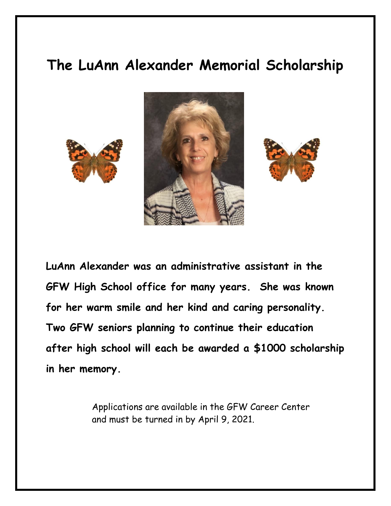## **The LuAnn Alexander Memorial Scholarship**







**LuAnn Alexander was an administrative assistant in the GFW High School office for many years. She was known for her warm smile and her kind and caring personality. Two GFW seniors planning to continue their education after high school will each be awarded a \$1000 scholarship in her memory.** 

> Applications are available in the GFW Career Center and must be turned in by April 9, 2021.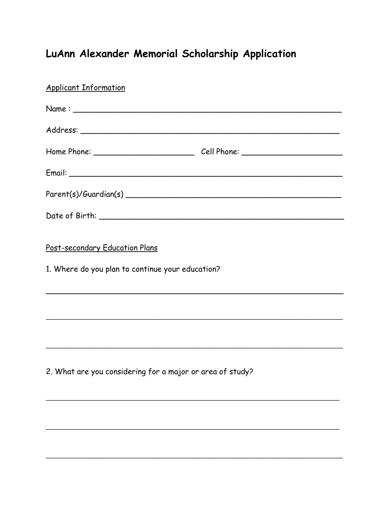## LuAnn Alexander Memorial Scholarship Application

| <b>Applicant Information</b>                                                       |  |
|------------------------------------------------------------------------------------|--|
|                                                                                    |  |
|                                                                                    |  |
|                                                                                    |  |
|                                                                                    |  |
|                                                                                    |  |
|                                                                                    |  |
| Post-secondary Education Plans<br>1. Where do you plan to continue your education? |  |
|                                                                                    |  |
|                                                                                    |  |
| 2. What are you considering for a major or area of study?                          |  |
|                                                                                    |  |